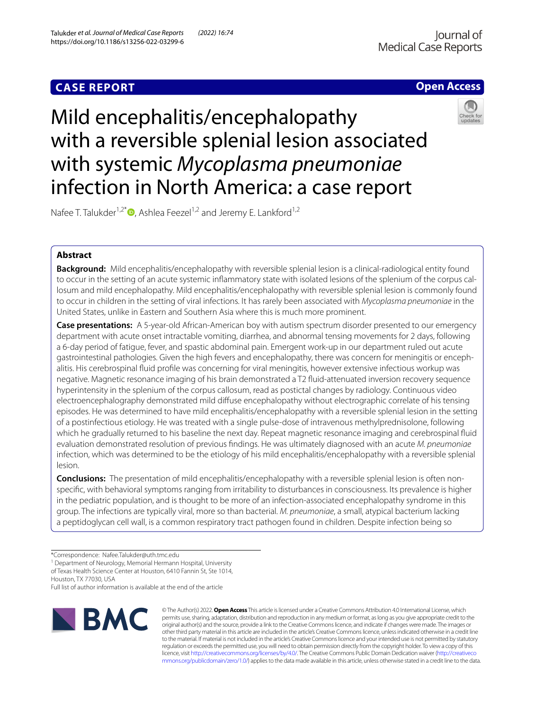# **CASE REPORT**

# **Open Access**

# Mild encephalitis/encephalopathy with a reversible splenial lesion associated with systemic *Mycoplasma pneumoniae* infection in North America: a case report



Nafee T. Talukder<sup>1,2\*</sup> $\bullet$ [,](http://orcid.org/0000-0001-8732-753X) Ashlea Feezel<sup>1,2</sup> and Jeremy E. Lankford<sup>1,2</sup>

## **Abstract**

**Background:** Mild encephalitis/encephalopathy with reversible splenial lesion is a clinical-radiological entity found to occur in the setting of an acute systemic infammatory state with isolated lesions of the splenium of the corpus callosum and mild encephalopathy. Mild encephalitis/encephalopathy with reversible splenial lesion is commonly found to occur in children in the setting of viral infections. It has rarely been associated with *Mycoplasma pneumoniae* in the United States, unlike in Eastern and Southern Asia where this is much more prominent.

**Case presentations:** A 5-year-old African-American boy with autism spectrum disorder presented to our emergency department with acute onset intractable vomiting, diarrhea, and abnormal tensing movements for 2 days, following a 6-day period of fatigue, fever, and spastic abdominal pain. Emergent work-up in our department ruled out acute gastrointestinal pathologies. Given the high fevers and encephalopathy, there was concern for meningitis or encephalitis. His cerebrospinal fuid profle was concerning for viral meningitis, however extensive infectious workup was negative. Magnetic resonance imaging of his brain demonstrated a T2 fuid-attenuated inversion recovery sequence hyperintensity in the splenium of the corpus callosum, read as postictal changes by radiology. Continuous video electroencephalography demonstrated mild difuse encephalopathy without electrographic correlate of his tensing episodes. He was determined to have mild encephalitis/encephalopathy with a reversible splenial lesion in the setting of a postinfectious etiology. He was treated with a single pulse-dose of intravenous methylprednisolone, following which he gradually returned to his baseline the next day. Repeat magnetic resonance imaging and cerebrospinal fuid evaluation demonstrated resolution of previous fndings. He was ultimately diagnosed with an acute *M. pneumoniae* infection, which was determined to be the etiology of his mild encephalitis/encephalopathy with a reversible splenial lesion.

**Conclusions:** The presentation of mild encephalitis/encephalopathy with a reversible splenial lesion is often nonspecifc, with behavioral symptoms ranging from irritability to disturbances in consciousness. Its prevalence is higher in the pediatric population, and is thought to be more of an infection-associated encephalopathy syndrome in this group. The infections are typically viral, more so than bacterial. *M. pneumoniae*, a small, atypical bacterium lacking a peptidoglycan cell wall, is a common respiratory tract pathogen found in children. Despite infection being so

<sup>1</sup> Department of Neurology, Memorial Hermann Hospital, University of Texas Health Science Center at Houston, 6410 Fannin St, Ste 1014,

Houston, TX 77030, USA

Full list of author information is available at the end of the article



© The Author(s) 2022. **Open Access** This article is licensed under a Creative Commons Attribution 4.0 International License, which permits use, sharing, adaptation, distribution and reproduction in any medium or format, as long as you give appropriate credit to the original author(s) and the source, provide a link to the Creative Commons licence, and indicate if changes were made. The images or other third party material in this article are included in the article's Creative Commons licence, unless indicated otherwise in a credit line to the material. If material is not included in the article's Creative Commons licence and your intended use is not permitted by statutory regulation or exceeds the permitted use, you will need to obtain permission directly from the copyright holder. To view a copy of this licence, visit [http://creativecommons.org/licenses/by/4.0/.](http://creativecommons.org/licenses/by/4.0/) The Creative Commons Public Domain Dedication waiver ([http://creativeco](http://creativecommons.org/publicdomain/zero/1.0/) [mmons.org/publicdomain/zero/1.0/](http://creativecommons.org/publicdomain/zero/1.0/)) applies to the data made available in this article, unless otherwise stated in a credit line to the data.

<sup>\*</sup>Correspondence: Nafee.Talukder@uth.tmc.edu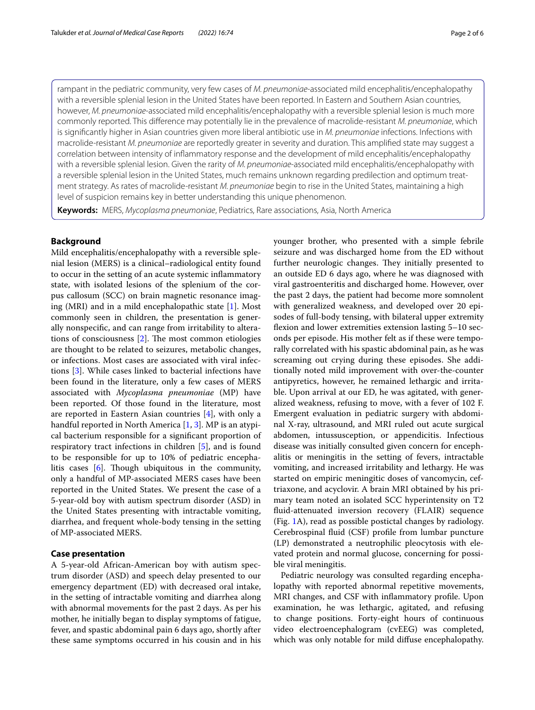rampant in the pediatric community, very few cases of *M. pneumoniae*-associated mild encephalitis/encephalopathy with a reversible splenial lesion in the United States have been reported. In Eastern and Southern Asian countries, however, *M. pneumoniae*-associated mild encephalitis/encephalopathy with a reversible splenial lesion is much more commonly reported. This diference may potentially lie in the prevalence of macrolide-resistant *M. pneumoniae*, which is signifcantly higher in Asian countries given more liberal antibiotic use in *M. pneumoniae* infections. Infections with macrolide-resistant *M. pneumoniae* are reportedly greater in severity and duration. This amplifed state may suggest a correlation between intensity of infammatory response and the development of mild encephalitis/encephalopathy with a reversible splenial lesion. Given the rarity of *M. pneumoniae*-associated mild encephalitis/encephalopathy with a reversible splenial lesion in the United States, much remains unknown regarding predilection and optimum treatment strategy. As rates of macrolide-resistant *M. pneumoniae* begin to rise in the United States, maintaining a high level of suspicion remains key in better understanding this unique phenomenon.

**Keywords:** MERS, *Mycoplasma pneumoniae*, Pediatrics, Rare associations, Asia, North America

#### **Background**

Mild encephalitis/encephalopathy with a reversible splenial lesion (MERS) is a clinical–radiological entity found to occur in the setting of an acute systemic infammatory state, with isolated lesions of the splenium of the corpus callosum (SCC) on brain magnetic resonance imaging (MRI) and in a mild encephalopathic state [[1\]](#page-4-0). Most commonly seen in children, the presentation is generally nonspecifc, and can range from irritability to alterations of consciousness  $[2]$  $[2]$ . The most common etiologies are thought to be related to seizures, metabolic changes, or infections. Most cases are associated with viral infections [\[3](#page-4-2)]. While cases linked to bacterial infections have been found in the literature, only a few cases of MERS associated with *Mycoplasma pneumoniae* (MP) have been reported. Of those found in the literature, most are reported in Eastern Asian countries [[4](#page-4-3)], with only a handful reported in North America [[1,](#page-4-0) [3](#page-4-2)]. MP is an atypical bacterium responsible for a signifcant proportion of respiratory tract infections in children [[5\]](#page-4-4), and is found to be responsible for up to 10% of pediatric encephalitis cases  $[6]$  $[6]$ . Though ubiquitous in the community, only a handful of MP-associated MERS cases have been reported in the United States. We present the case of a 5-year-old boy with autism spectrum disorder (ASD) in the United States presenting with intractable vomiting, diarrhea, and frequent whole-body tensing in the setting of MP-associated MERS.

#### **Case presentation**

A 5-year-old African-American boy with autism spectrum disorder (ASD) and speech delay presented to our emergency department (ED) with decreased oral intake, in the setting of intractable vomiting and diarrhea along with abnormal movements for the past 2 days. As per his mother, he initially began to display symptoms of fatigue, fever, and spastic abdominal pain 6 days ago, shortly after these same symptoms occurred in his cousin and in his younger brother, who presented with a simple febrile seizure and was discharged home from the ED without further neurologic changes. They initially presented to an outside ED 6 days ago, where he was diagnosed with viral gastroenteritis and discharged home. However, over the past 2 days, the patient had become more somnolent with generalized weakness, and developed over 20 episodes of full-body tensing, with bilateral upper extremity flexion and lower extremities extension lasting 5–10 seconds per episode. His mother felt as if these were temporally correlated with his spastic abdominal pain, as he was screaming out crying during these episodes. She additionally noted mild improvement with over-the-counter antipyretics, however, he remained lethargic and irritable. Upon arrival at our ED, he was agitated, with generalized weakness, refusing to move, with a fever of 102 F. Emergent evaluation in pediatric surgery with abdominal X-ray, ultrasound, and MRI ruled out acute surgical abdomen, intussusception, or appendicitis. Infectious disease was initially consulted given concern for encephalitis or meningitis in the setting of fevers, intractable vomiting, and increased irritability and lethargy. He was started on empiric meningitic doses of vancomycin, ceftriaxone, and acyclovir. A brain MRI obtained by his primary team noted an isolated SCC hyperintensity on T2 fuid-attenuated inversion recovery (FLAIR) sequence (Fig. [1](#page-2-0)A), read as possible postictal changes by radiology. Cerebrospinal fuid (CSF) profle from lumbar puncture (LP) demonstrated a neutrophilic pleocytosis with elevated protein and normal glucose, concerning for possible viral meningitis.

Pediatric neurology was consulted regarding encephalopathy with reported abnormal repetitive movements, MRI changes, and CSF with infammatory profle. Upon examination, he was lethargic, agitated, and refusing to change positions. Forty-eight hours of continuous video electroencephalogram (cvEEG) was completed, which was only notable for mild difuse encephalopathy.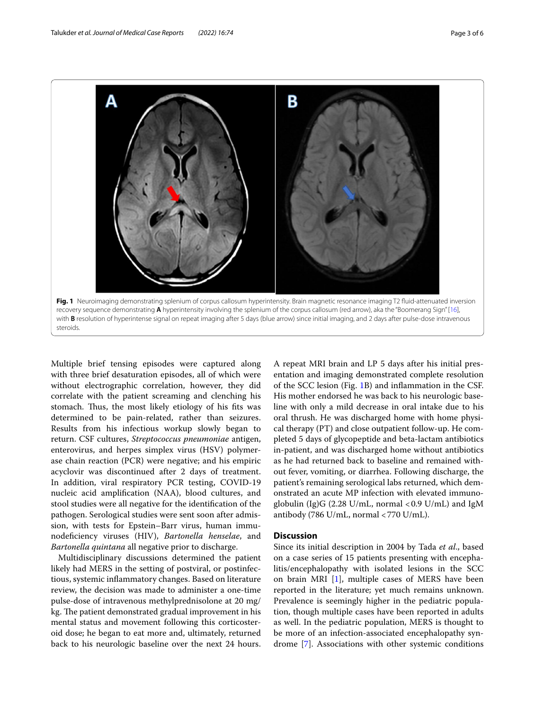

<span id="page-2-0"></span>Multiple brief tensing episodes were captured along with three brief desaturation episodes, all of which were without electrographic correlation, however, they did correlate with the patient screaming and clenching his stomach. Thus, the most likely etiology of his fits was determined to be pain-related, rather than seizures. Results from his infectious workup slowly began to return. CSF cultures, *Streptococcus pneumoniae* antigen, enterovirus, and herpes simplex virus (HSV) polymerase chain reaction (PCR) were negative; and his empiric acyclovir was discontinued after 2 days of treatment. In addition, viral respiratory PCR testing, COVID-19 nucleic acid amplifcation (NAA), blood cultures, and stool studies were all negative for the identifcation of the pathogen. Serological studies were sent soon after admission, with tests for Epstein–Barr virus, human immunodefciency viruses (HIV), *Bartonella henselae*, and *Bartonella quintana* all negative prior to discharge.

Multidisciplinary discussions determined the patient likely had MERS in the setting of postviral, or postinfectious, systemic infammatory changes. Based on literature review, the decision was made to administer a one-time pulse-dose of intravenous methylprednisolone at 20 mg/ kg. The patient demonstrated gradual improvement in his mental status and movement following this corticosteroid dose; he began to eat more and, ultimately, returned back to his neurologic baseline over the next 24 hours. A repeat MRI brain and LP 5 days after his initial presentation and imaging demonstrated complete resolution of the SCC lesion (Fig. [1B](#page-2-0)) and infammation in the CSF. His mother endorsed he was back to his neurologic baseline with only a mild decrease in oral intake due to his oral thrush. He was discharged home with home physical therapy (PT) and close outpatient follow-up. He completed 5 days of glycopeptide and beta-lactam antibiotics in-patient, and was discharged home without antibiotics as he had returned back to baseline and remained without fever, vomiting, or diarrhea. Following discharge, the patient's remaining serological labs returned, which demonstrated an acute MP infection with elevated immunoglobulin (Ig)G  $(2.28 \text{ U/mL})$ , normal <0.9 U/mL) and IgM antibody (786 U/mL, normal <770 U/mL).

### **Discussion**

Since its initial description in 2004 by Tada *et al*., based on a case series of 15 patients presenting with encephalitis/encephalopathy with isolated lesions in the SCC on brain MRI [\[1](#page-4-0)], multiple cases of MERS have been reported in the literature; yet much remains unknown. Prevalence is seemingly higher in the pediatric population, though multiple cases have been reported in adults as well. In the pediatric population, MERS is thought to be more of an infection-associated encephalopathy syndrome [[7\]](#page-4-6). Associations with other systemic conditions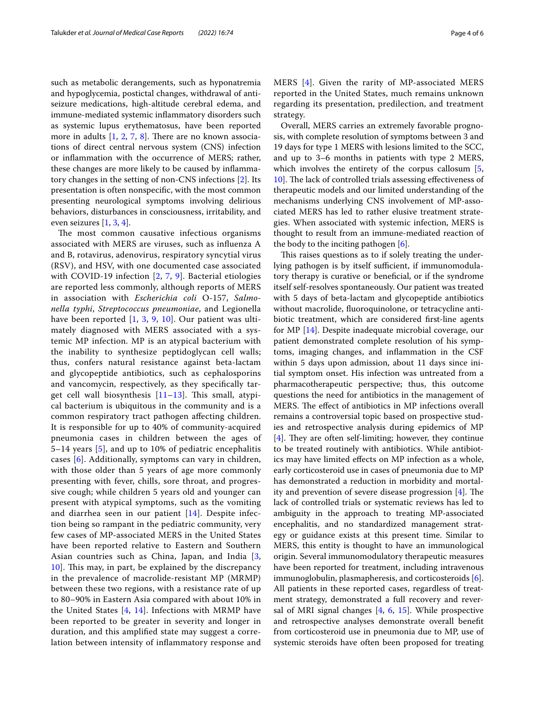such as metabolic derangements, such as hyponatremia and hypoglycemia, postictal changes, withdrawal of antiseizure medications, high-altitude cerebral edema, and immune-mediated systemic infammatory disorders such as systemic lupus erythematosus, have been reported more in adults  $[1, 2, 7, 8]$  $[1, 2, 7, 8]$  $[1, 2, 7, 8]$  $[1, 2, 7, 8]$  $[1, 2, 7, 8]$  $[1, 2, 7, 8]$  $[1, 2, 7, 8]$ . There are no known associations of direct central nervous system (CNS) infection or infammation with the occurrence of MERS; rather, these changes are more likely to be caused by infammatory changes in the setting of non-CNS infections [\[2](#page-4-1)]. Its presentation is often nonspecifc, with the most common presenting neurological symptoms involving delirious behaviors, disturbances in consciousness, irritability, and even seizures [\[1](#page-4-0), [3,](#page-4-2) [4](#page-4-3)].

The most common causative infectious organisms associated with MERS are viruses, such as infuenza A and B, rotavirus, adenovirus, respiratory syncytial virus (RSV), and HSV, with one documented case associated with COVID-19 infection [\[2](#page-4-1), [7](#page-4-6), [9](#page-4-8)]. Bacterial etiologies are reported less commonly, although reports of MERS in association with *Escherichia coli* O-157, *Salmonella typhi*, *Streptococcus pneumoniae*, and Legionella have been reported [[1](#page-4-0), [3](#page-4-2), [9](#page-4-8), [10](#page-5-1)]. Our patient was ultimately diagnosed with MERS associated with a systemic MP infection. MP is an atypical bacterium with the inability to synthesize peptidoglycan cell walls; thus, confers natural resistance against beta-lactam and glycopeptide antibiotics, such as cephalosporins and vancomycin, respectively, as they specifcally target cell wall biosynthesis  $[11-13]$  $[11-13]$ . This small, atypical bacterium is ubiquitous in the community and is a common respiratory tract pathogen afecting children. It is responsible for up to 40% of community-acquired pneumonia cases in children between the ages of 5–14 years [\[5](#page-4-4)], and up to 10% of pediatric encephalitis cases [[6](#page-4-5)]. Additionally, symptoms can vary in children, with those older than 5 years of age more commonly presenting with fever, chills, sore throat, and progressive cough; while children 5 years old and younger can present with atypical symptoms, such as the vomiting and diarrhea seen in our patient [[14\]](#page-5-4). Despite infection being so rampant in the pediatric community, very few cases of MP-associated MERS in the United States have been reported relative to Eastern and Southern Asian countries such as China, Japan, and India [\[3](#page-4-2), [10\]](#page-5-1). This may, in part, be explained by the discrepancy in the prevalence of macrolide-resistant MP (MRMP) between these two regions, with a resistance rate of up to 80–90% in Eastern Asia compared with about 10% in the United States  $[4, 14]$  $[4, 14]$  $[4, 14]$  $[4, 14]$ . Infections with MRMP have been reported to be greater in severity and longer in duration, and this amplifed state may suggest a correlation between intensity of infammatory response and MERS [[4\]](#page-4-3). Given the rarity of MP-associated MERS reported in the United States, much remains unknown regarding its presentation, predilection, and treatment strategy.

Overall, MERS carries an extremely favorable prognosis, with complete resolution of symptoms between 3 and 19 days for type 1 MERS with lesions limited to the SCC, and up to 3–6 months in patients with type 2 MERS, which involves the entirety of the corpus callosum [\[5](#page-4-4), [10\]](#page-5-1). The lack of controlled trials assessing effectiveness of therapeutic models and our limited understanding of the mechanisms underlying CNS involvement of MP-associated MERS has led to rather elusive treatment strategies. When associated with systemic infection, MERS is thought to result from an immune-mediated reaction of the body to the inciting pathogen  $[6]$  $[6]$ .

This raises questions as to if solely treating the underlying pathogen is by itself sufficient, if immunomodulatory therapy is curative or benefcial, or if the syndrome itself self-resolves spontaneously. Our patient was treated with 5 days of beta-lactam and glycopeptide antibiotics without macrolide, fuoroquinolone, or tetracycline antibiotic treatment, which are considered frst-line agents for MP [[14](#page-5-4)]. Despite inadequate microbial coverage, our patient demonstrated complete resolution of his symptoms, imaging changes, and infammation in the CSF within 5 days upon admission, about 11 days since initial symptom onset. His infection was untreated from a pharmacotherapeutic perspective; thus, this outcome questions the need for antibiotics in the management of MERS. The effect of antibiotics in MP infections overall remains a controversial topic based on prospective studies and retrospective analysis during epidemics of MP [[4\]](#page-4-3). They are often self-limiting; however, they continue to be treated routinely with antibiotics. While antibiotics may have limited efects on MP infection as a whole, early corticosteroid use in cases of pneumonia due to MP has demonstrated a reduction in morbidity and mortality and prevention of severe disease progression  $[4]$  $[4]$ . The lack of controlled trials or systematic reviews has led to ambiguity in the approach to treating MP-associated encephalitis, and no standardized management strategy or guidance exists at this present time. Similar to MERS, this entity is thought to have an immunological origin. Several immunomodulatory therapeutic measures have been reported for treatment, including intravenous immunoglobulin, plasmapheresis, and corticosteroids [\[6](#page-4-5)]. All patients in these reported cases, regardless of treatment strategy, demonstrated a full recovery and reversal of MRI signal changes [\[4](#page-4-3), [6](#page-4-5), [15](#page-5-5)]. While prospective and retrospective analyses demonstrate overall beneft from corticosteroid use in pneumonia due to MP, use of systemic steroids have often been proposed for treating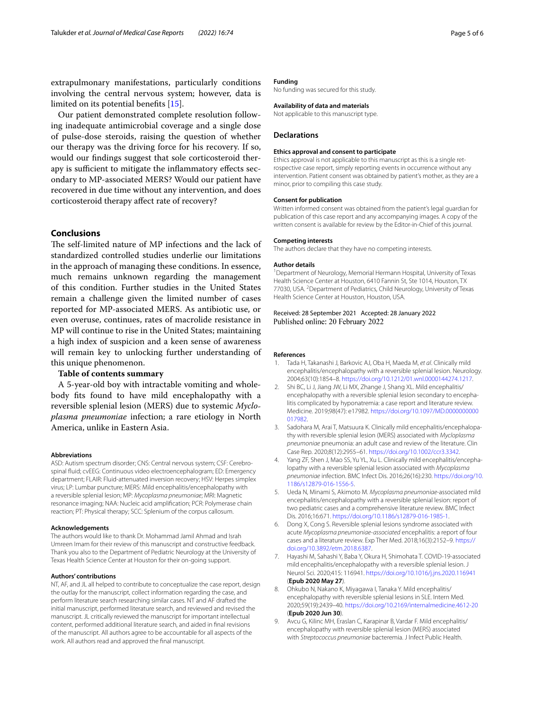extrapulmonary manifestations, particularly conditions involving the central nervous system; however, data is limited on its potential benefts [[15](#page-5-5)].

Our patient demonstrated complete resolution following inadequate antimicrobial coverage and a single dose of pulse-dose steroids, raising the question of whether our therapy was the driving force for his recovery. If so, would our fndings suggest that sole corticosteroid therapy is sufficient to mitigate the inflammatory effects secondary to MP-associated MERS? Would our patient have recovered in due time without any intervention, and does corticosteroid therapy afect rate of recovery?

### **Conclusions**

The self-limited nature of MP infections and the lack of standardized controlled studies underlie our limitations in the approach of managing these conditions. In essence, much remains unknown regarding the management of this condition. Further studies in the United States remain a challenge given the limited number of cases reported for MP-associated MERS. As antibiotic use, or even overuse, continues, rates of macrolide resistance in MP will continue to rise in the United States; maintaining a high index of suspicion and a keen sense of awareness will remain key to unlocking further understanding of this unique phenomenon.

#### **Table of contents summary**

A 5-year-old boy with intractable vomiting and wholebody fts found to have mild encephalopathy with a reversible splenial lesion (MERS) due to systemic *Mycloplasma pneumoniae* infection; a rare etiology in North America, unlike in Eastern Asia.

#### **Abbreviations**

ASD: Autism spectrum disorder; CNS: Central nervous system; CSF: Cerebrospinal fuid; cvEEG: Continuous video electroencephalogram; ED: Emergency department; FLAIR: Fluid-attenuated inversion recovery; HSV: Herpes simplex virus; LP: Lumbar puncture; MERS: Mild encephalitis/encephalopathy with a reversible splenial lesion; MP: *Mycoplasma pneumoniae*; MRI: Magnetic resonance imaging; NAA: Nucleic acid amplifcation; PCR: Polymerase chain reaction; PT: Physical therapy; SCC: Splenium of the corpus callosum.

#### **Acknowledgements**

The authors would like to thank Dr. Mohammad Jamil Ahmad and Israh Umreen Imam for their review of this manuscript and constructive feedback. Thank you also to the Department of Pediatric Neurology at the University of Texas Health Science Center at Houston for their on-going support.

#### **Authors' contributions**

NT, AF, and JL all helped to contribute to conceptualize the case report, design the outlay for the manuscript, collect information regarding the case, and perform literature search researching similar cases. NT and AF drafted the initial manuscript, performed literature search, and reviewed and revised the manuscript. JL critically reviewed the manuscript for important intellectual content, performed additional literature search, and aided in fnal revisions of the manuscript. All authors agree to be accountable for all aspects of the work. All authors read and approved the fnal manuscript.

#### **Funding**

No funding was secured for this study.

#### **Availability of data and materials**

Not applicable to this manuscript type.

#### **Declarations**

#### **Ethics approval and consent to participate**

Ethics approval is not applicable to this manuscript as this is a single retrospective case report, simply reporting events in occurrence without any intervention. Patient consent was obtained by patient's mother, as they are a minor, prior to compiling this case study.

#### **Consent for publication**

Written informed consent was obtained from the patient's legal guardian for publication of this case report and any accompanying images. A copy of the written consent is available for review by the Editor-in-Chief of this journal.

#### **Competing interests**

The authors declare that they have no competing interests.

#### **Author details**

<sup>1</sup> Department of Neurology, Memorial Hermann Hospital, University of Texas Health Science Center at Houston, 6410 Fannin St, Ste 1014, Houston, TX 77030, USA. <sup>2</sup> Department of Pediatrics, Child Neurology, University of Texas Health Science Center at Houston, Houston, USA.

Received: 28 September 2021 Accepted: 28 January 2022 Published online: 20 February 2022

#### **References**

- <span id="page-4-0"></span>1. Tada H, Takanashi J, Barkovic AJ, Oba H, Maeda M, *et al*. Clinically mild encephalitis/encephalopathy with a reversible splenial lesion. Neurology. 2004;63(10):1854–8. [https://doi.org/10.1212/01.wnl.0000144274.1217.](https://doi.org/10.1212/01.wnl.0000144274.1217)
- <span id="page-4-1"></span>2. Shi BC, Li J, Jiang JW, Li MX, Zhange J, Shang XL. Mild encephalitis/ encephalopathy with a reversible splenial lesion secondary to encephalitis complicated by hyponatremia: a case report and literature review. Medicine. 2019;98(47): e17982. [https://doi.org/10.1097/MD.0000000000](https://doi.org/10.1097/MD.0000000000017982) [017982.](https://doi.org/10.1097/MD.0000000000017982)
- <span id="page-4-2"></span>3. Sadohara M, Arai T, Matsuura K. Clinically mild encephalitis/encephalopathy with reversible splenial lesion (MERS) associated with *Mycloplasma pneumoniae* pneumonia: an adult case and review of the literature. Clin Case Rep. 2020;8(12):2955–61. <https://doi.org/10.1002/ccr3.3342>.
- <span id="page-4-3"></span>4. Yang ZF, Shen J, Mao SS, Yu YL, Xu L. Clinically mild encephalitis/encephalopathy with a reversible splenial lesion associated with *Mycoplasma pneumoniae* infection. BMC Infect Dis. 2016;26(16):230. [https://doi.org/10.](https://doi.org/10.1186/s12879-016-1556-5) [1186/s12879-016-1556-5](https://doi.org/10.1186/s12879-016-1556-5).
- <span id="page-4-4"></span>5. Ueda N, Minami S, Akimoto M. *Mycoplasma pneumoniae*-associated mild encephalitis/encephalopathy with a reversible splenial lesion: report of two pediatric cases and a comprehensive literature review. BMC Infect Dis. 2016;16:671.<https://doi.org/10.1186/s12879-016-1985-1>.
- <span id="page-4-5"></span>6. Dong X, Cong S. Reversible splenial lesions syndrome associated with acute *Mycoplasma pneumoniae-associated* encephalitis: a report of four cases and a literature review. Exp Ther Med. 2018;16(3):2152–9. [https://](https://doi.org/10.3892/etm.2018.6387) [doi.org/10.3892/etm.2018.6387](https://doi.org/10.3892/etm.2018.6387).
- <span id="page-4-6"></span>7. Hayashi M, Sahashi Y, Baba Y, Okura H, Shimohata T. COVID-19-associated mild encephalitis/encephalopathy with a reversible splenial lesion. J Neurol Sci. 2020;415: 116941. <https://doi.org/10.1016/j.jns.2020.116941> (**Epub 2020 May 27**).
- <span id="page-4-7"></span>8. Ohkubo N, Nakano K, Miyagawa I, Tanaka Y. Mild encephalitis/ encephalopathy with reversible splenial lesions in SLE. Intern Med. 2020;59(19):2439–40.<https://doi.org/10.2169/internalmedicine.4612-20> (**Epub 2020 Jun 30**).
- <span id="page-4-8"></span>9. Avcu G, Kilinc MH, Eraslan C, Karapinar B, Vardar F. Mild encephalitis/ encephalopathy with reversible splenial lesion (MERS) associated with *Streptococcus pneumoniae* bacteremia. J Infect Public Health.